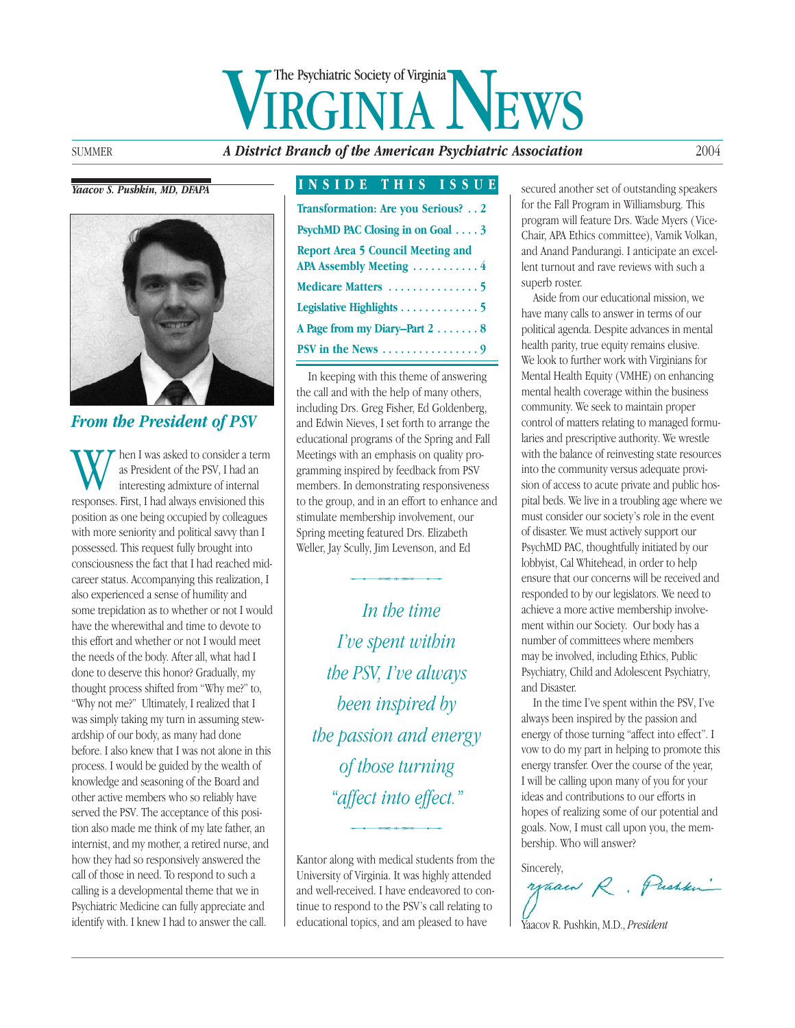## WE Psychiatric Society of Virginia The Psychiatric Society of Virginia

SUMMER *A District Branch of the American Psychiatric Association* 2004

#### *Yaacov S. Pushkin, MD, DFAPA*



#### *From the President of PSV*

When I was asked to consider a term<br>as President of the PSV, I had an<br>interesting admixture of internal<br>responses. First, I had always envisioned this as President of the PSV, I had an interesting admixture of internal position as one being occupied by colleagues with more seniority and political savvy than I possessed. This request fully brought into consciousness the fact that I had reached midcareer status. Accompanying this realization, I also experienced a sense of humility and some trepidation as to whether or not I would have the wherewithal and time to devote to this effort and whether or not I would meet the needs of the body. After all, what had I done to deserve this honor? Gradually, my thought process shifted from "Why me?" to, "Why not me?" Ultimately, I realized that I was simply taking my turn in assuming stewardship of our body, as many had done before. I also knew that I was not alone in this process. I would be guided by the wealth of knowledge and seasoning of the Board and other active members who so reliably have served the PSV. The acceptance of this position also made me think of my late father, an internist, and my mother, a retired nurse, and how they had so responsively answered the call of those in need. To respond to such a calling is a developmental theme that we in Psychiatric Medicine can fully appreciate and identify with. I knew I had to answer the call.

#### **INSIDE THIS ISSUE**

| Transformation: Are you Serious? 2                                  |
|---------------------------------------------------------------------|
| PsychMD PAC Closing in on Goal 3                                    |
| <b>Report Area 5 Council Meeting and</b><br>APA Assembly Meeting  4 |
|                                                                     |
| Legislative Highlights 5                                            |
| A Page from my Diary-Part 2 8                                       |
| PSV in the News $\dots\dots\dots\dots\dots9$                        |

In keeping with this theme of answering the call and with the help of many others, including Drs. Greg Fisher, Ed Goldenberg, and Edwin Nieves, I set forth to arrange the educational programs of the Spring and Fall Meetings with an emphasis on quality programming inspired by feedback from PSV members. In demonstrating responsiveness to the group, and in an effort to enhance and stimulate membership involvement, our Spring meeting featured Drs. Elizabeth<br>Spring meeting featured Drs. Elizabeth<br>Weller, Jay Scully, Jim Levenson, and Eq. Weller, Jay Scully, Jim Levenson, and Ed

*In the time I've spent within the PSV, I've always been inspired by the passion and energy of those turning "affect into effect."*  $\begin{minipage}{0.5\textwidth} \centering \begin{tabular}{@{}l@{}} \hline \textbf{fect} & \textbf{m} & \textbf{m} & \textbf{m} \\ \textbf{fect} & \textbf{m} & \textbf{m} & \textbf{m} \\ \textbf{fect} & \textbf{m} & \textbf{m} & \textbf{m} \\ \textbf{m} & \textbf{m} & \textbf{m} & \textbf{m} \\ \end{tabular} \end{minipage} \vspace{0.5em} \begin{minipage}{0.5\textwidth} \centering \begin{tabular}{@{}l@{}} \hline \textbf{fect} & \textbf{m} & \textbf{$ 

Kantor along with medical students from the University of Virginia. It was highly attended and well-received. I have endeavored to continue to respond to the PSV's call relating to educational topics, and am pleased to have

secured another set of outstanding speakers for the Fall Program in Williamsburg. This program will feature Drs. Wade Myers ( Vice-Chair, APA Ethics committee), Vamik Volkan, and Anand Pandurangi. I anticipate an excellent turnout and rave reviews with such a superb roster.

Aside from our educational mission, we have many calls to answer in terms of our political agenda. Despite advances in mental health parity, true equity remains elusive. We look to further work with Virginians for Mental Health Equity (VMHE) on enhancing mental health coverage within the business community. We seek to maintain proper control of matters relating to managed formularies and prescriptive authority. We wrestle with the balance of reinvesting state resources into the community versus adequate provision of access to acute private and public hospital beds. We live in a troubling age where we must consider our society's role in the event of disaster. We must actively support our PsychMD PAC, thoughtfully initiated by our lobbyist, Cal Whitehead, in order to help ensure that our concerns will be received and responded to by our legislators. We need to achieve a more active membership involvement within our Society. Our body has a number of committees where members may be involved, including Ethics, Public Psychiatry, Child and Adolescent Psychiatry, and Disaster.

In the time I've spent within the PSV, I've always been inspired by the passion and energy of those turning "affect into effect". I vow to do my part in helping to promote this energy transfer. Over the course of the year, I will be calling upon many of you for your ideas and contributions to our efforts in hopes of realizing some of our potential and goals. Now, I must call upon you, the membership. Who will answer?

Sincerely,<br>yaam R. Pushku

Yaacov R. Pushkin, M.D., *President*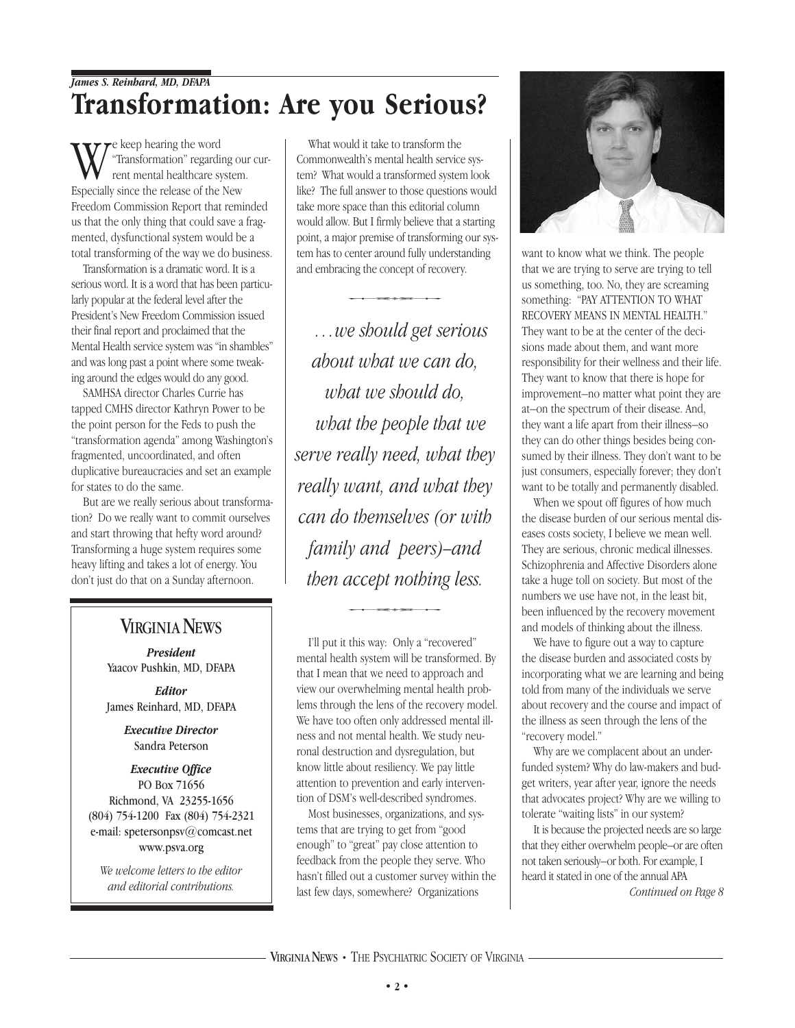#### *James S. Reinhard, MD, DFAPA* **Transformation: Are you Serious?**

e keep hearing the word "Transformation" regarding our current mental healthcare system. Especially since the release of the New Freedom Commission Report that reminded us that the only thing that could save a fragmented, dysfunctional system would be a total transforming of the way we do business.

Transformation is a dramatic word. It is a serious word. It is a word that has been particularly popular at the federal level after the President's New Freedom Commission issued their final report and proclaimed that the Mental Health service system was "in shambles" and was long past a point where some tweaking around the edges would do any good.

SAMHSA director Charles Currie has tapped CMHS director Kathryn Power to be the point person for the Feds to push the "transformation agenda" among Washington's fragmented, uncoordinated, and often duplicative bureaucracies and set an example for states to do the same.

But are we really serious about transformation? Do we really want to commit ourselves and start throwing that hefty word around? Transforming a huge system requires some heavy lifting and takes a lot of energy. You don't just do that on a Sunday afternoon.

#### **VIRGINIA NEWS**

*President* Yaacov Pushkin, MD, DFAPA

*Editor* James Reinhard, MD, DFAPA

> *Executive Director* Sandra Peterson

#### *Executive Office* PO Box 71656 Richmond, VA 23255-1656 (804) 754-1200 Fax (804) 754-2321

e-mail: spetersonpsv@comcast.net www.psva.org

*We welcome letters to the editor and editorial contributions.*

What would it take to transform the Commonwealth's mental health service system? What would a transformed system look like? The full answer to those questions would take more space than this editorial column would allow. But I firmly believe that a starting point, a major premise of transforming our syspoint, a major premise of transforming our system has to center around fully understanding<br>and embracing the concept of recovery. and embracing the concept of recovery.

*…we should get serious about what we can do, what we should do, what the people that we serve really need, what they really want, and what they can do themselves (or with family and peers)–and then accept nothing less.*  $\frac{1}{2}$ <br>accept nothing le

I'll put it this way: Only a "recovered" mental health system will be transformed. By that I mean that we need to approach and view our overwhelming mental health problems through the lens of the recovery model. We have too often only addressed mental illness and not mental health. We study neuronal destruction and dysregulation, but know little about resiliency. We pay little attention to prevention and early intervention of DSM's well-described syndromes.

Most businesses, organizations, and systems that are trying to get from "good enough" to "great" pay close attention to feedback from the people they serve. Who hasn't filled out a customer survey within the last few days, somewhere? Organizations



want to know what we think. The people that we are trying to serve are trying to tell us something, too. No, they are screaming something: "PAY ATTENTION TO WHAT RECOVERY MEANS IN MENTAL HEALTH." They want to be at the center of the decisions made about them, and want more responsibility for their wellness and their life. They want to know that there is hope for improvement–no matter what point they are at–on the spectrum of their disease. And, they want a life apart from their illness–so they can do other things besides being consumed by their illness. They don't want to be just consumers, especially forever; they don't want to be totally and permanently disabled.

When we spout off figures of how much the disease burden of our serious mental diseases costs society, I believe we mean well. They are serious, chronic medical illnesses. Schizophrenia and Affective Disorders alone take a huge toll on society. But most of the numbers we use have not, in the least bit, been influenced by the recovery movement and models of thinking about the illness.

We have to figure out a way to capture the disease burden and associated costs by incorporating what we are learning and being told from many of the individuals we serve about recovery and the course and impact of the illness as seen through the lens of the "recovery model."

Why are we complacent about an underfunded system? Why do law-makers and budget writers, year after year, ignore the needs that advocates project? Why are we willing to tolerate "waiting lists" in our system?

It is because the projected needs are so large that they either overwhelm people–or are often not taken seriously–or both. For example, I heard it stated in one of the annual APA

*Continued on Page 8*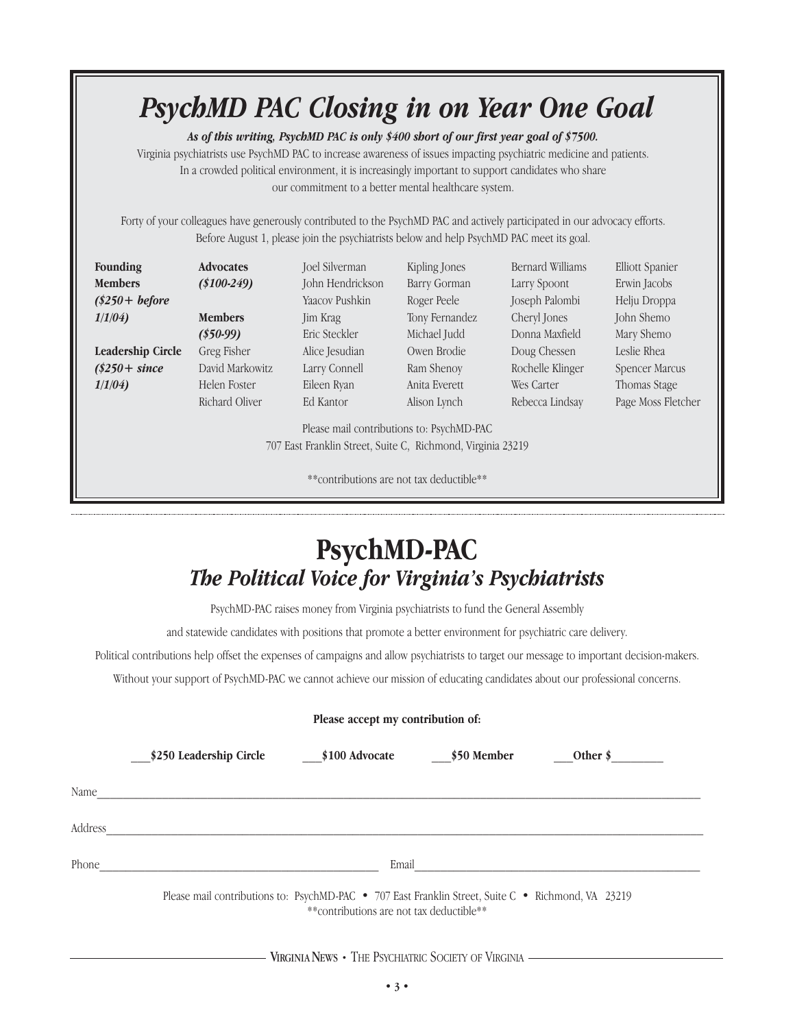## *PsychMD PAC Closing in on Year One Goal*

*As of this writing, PsychMD PAC is only \$400 short of our first year goal of \$7500.* 

Virginia psychiatrists use PsychMD PAC to increase awareness of issues impacting psychiatric medicine and patients. In a crowded political environment, it is increasingly important to support candidates who share our commitment to a better mental healthcare system.

Forty of your colleagues have generously contributed to the PsychMD PAC and actively participated in our advocacy efforts. Before August 1, please join the psychiatrists below and help PsychMD PAC meet its goal.

| <b>Founding</b>                                                                                          | <b>Advocates</b> | <b>Joel Silverman</b> | Kipling Jones  | <b>Bernard Williams</b> | <b>Elliott Spanier</b> |  |  |
|----------------------------------------------------------------------------------------------------------|------------------|-----------------------|----------------|-------------------------|------------------------|--|--|
| <b>Members</b>                                                                                           | $(\$100-249)$    | John Hendrickson      | Barry Gorman   | Larry Spoont            | Erwin Jacobs           |  |  |
| $(\$250 + before$                                                                                        |                  | Yaacov Pushkin        | Roger Peele    | Joseph Palombi          | Helju Droppa           |  |  |
| 1/1/04                                                                                                   | <b>Members</b>   | Jim Krag              | Tony Fernandez | Cheryl Jones            | John Shemo             |  |  |
|                                                                                                          | $(\$50-99)$      | Eric Steckler         | Michael Judd   | Donna Maxfield          | Mary Shemo             |  |  |
| <b>Leadership Circle</b>                                                                                 | Greg Fisher      | Alice Jesudian        | Owen Brodie    | Doug Chessen            | Leslie Rhea            |  |  |
| $(\$250 + since$                                                                                         | David Markowitz  | Larry Connell         | Ram Shenoy     | Rochelle Klinger        | Spencer Marcus         |  |  |
| 1/1/04                                                                                                   | Helen Foster     | Eileen Ryan           | Anita Everett  | Wes Carter              | Thomas Stage           |  |  |
|                                                                                                          | Richard Oliver   | Ed Kantor             | Alison Lynch   | Rebecca Lindsay         | Page Moss Fletcher     |  |  |
| Please mail contributions to: PsychMD-PAC<br>707 East Franklin Street, Suite C, Richmond, Virginia 23219 |                  |                       |                |                         |                        |  |  |

\*\*contributions are not tax deductible\*\*

## **PsychMD-PAC** *The Political Voice for Virginia's Psychiatrists*

PsychMD-PAC raises money from Virginia psychiatrists to fund the General Assembly

and statewide candidates with positions that promote a better environment for psychiatric care delivery.

Political contributions help offset the expenses of campaigns and allow psychiatrists to target our message to important decision-makers.

Without your support of PsychMD-PAC we cannot achieve our mission of educating candidates about our professional concerns.

|  |  |  | Please accept my contribution of: |  |
|--|--|--|-----------------------------------|--|
|--|--|--|-----------------------------------|--|

|         | \$250 Leadership Circle | \$100 Advocate                                                                                                                                 | \$50 Member | Other $\frac{1}{2}$ |  |
|---------|-------------------------|------------------------------------------------------------------------------------------------------------------------------------------------|-------------|---------------------|--|
| Name    |                         |                                                                                                                                                |             |                     |  |
| Address |                         |                                                                                                                                                |             |                     |  |
| Phone   |                         | Email                                                                                                                                          |             |                     |  |
|         |                         | Please mail contributions to: PsychMD-PAC • 707 East Franklin Street, Suite C • Richmond, VA 23219<br>**contributions are not tax deductible** |             |                     |  |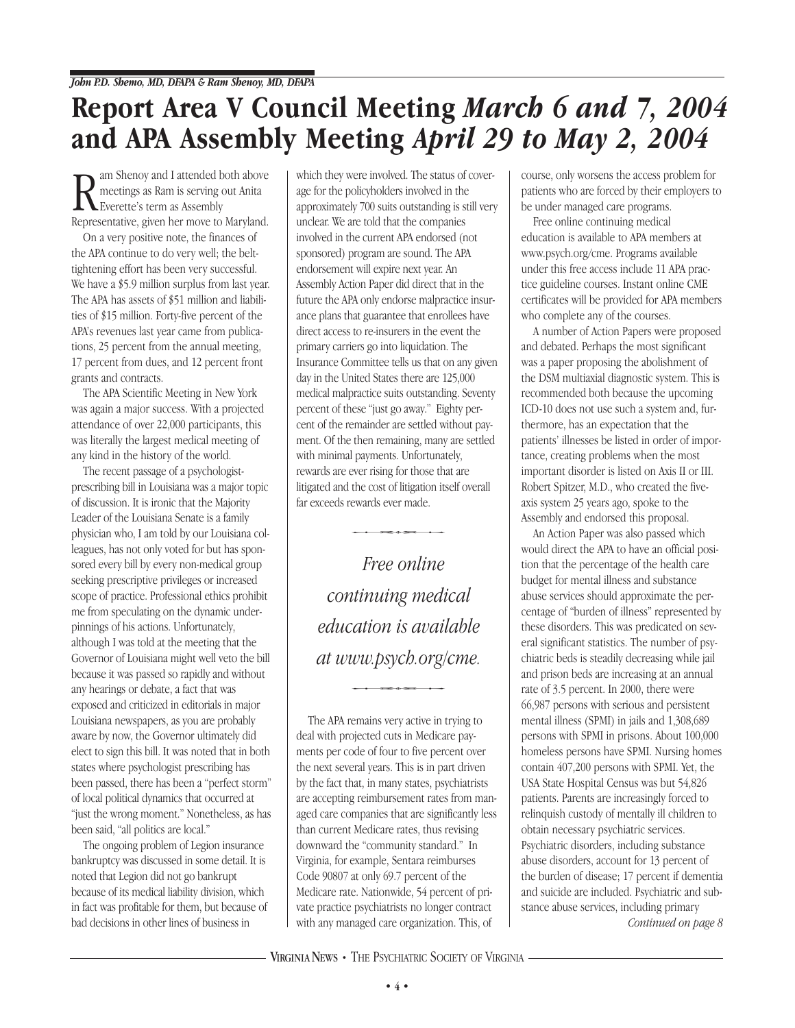## **Report Area V Council Meeting** *March 6 and 7, 2004* **and APA Assembly Meeting** *April 29 to May 2, 2004*

**R** am Shenoy and I attended both above<br>
reetings as Ram is serving out Anita<br>
Representative, given her move to Maryland. am Shenoy and I attended both above meetings as Ram is serving out Anita Everette's term as Assembly

On a very positive note, the finances of the APA continue to do very well; the belttightening effort has been very successful. We have a \$5.9 million surplus from last year. The APA has assets of \$51 million and liabilities of \$15 million. Forty-five percent of the APA's revenues last year came from publications, 25 percent from the annual meeting, 17 percent from dues, and 12 percent front grants and contracts.

The APA Scientific Meeting in New York was again a major success. With a projected attendance of over 22,000 participants, this was literally the largest medical meeting of any kind in the history of the world.

The recent passage of a psychologistprescribing bill in Louisiana was a major topic of discussion. It is ironic that the Majority Leader of the Louisiana Senate is a family physician who, I am told by our Louisiana colleagues, has not only voted for but has sponsored every bill by every non-medical group seeking prescriptive privileges or increased scope of practice. Professional ethics prohibit me from speculating on the dynamic underpinnings of his actions. Unfortunately, although I was told at the meeting that the Governor of Louisiana might well veto the bill because it was passed so rapidly and without any hearings or debate, a fact that was exposed and criticized in editorials in major Louisiana newspapers, as you are probably aware by now, the Governor ultimately did elect to sign this bill. It was noted that in both states where psychologist prescribing has been passed, there has been a "perfect storm" of local political dynamics that occurred at "just the wrong moment." Nonetheless, as has been said, "all politics are local."

The ongoing problem of Legion insurance bankruptcy was discussed in some detail. It is noted that Legion did not go bankrupt because of its medical liability division, which in fact was profitable for them, but because of bad decisions in other lines of business in

which they were involved. The status of coverage for the policyholders involved in the approximately 700 suits outstanding is still very unclear. We are told that the companies involved in the current APA endorsed (not sponsored) program are sound. The APA endorsement will expire next year. An Assembly Action Paper did direct that in the future the APA only endorse malpractice insurance plans that guarantee that enrollees have direct access to re-insurers in the event the primary carriers go into liquidation. The Insurance Committee tells us that on any given day in the United States there are 125,000 medical malpractice suits outstanding. Seventy percent of these "just go away." Eighty percent of the remainder are settled without payment. Of the then remaining, many are settled with minimal payments. Unfortunately, rewards are ever rising for those that are litigated and the cost of litigation itself overall<br>litigated and the cost of litigation itself overall<br>far exceeds rewards ever made. far exceeds rewards ever made.

*Free online continuing medical education is available at www.psych.org/cme. ution is avaittoon*<br>*vw.psych.org/cm*<br>————————————————————

The APA remains very active in trying to deal with projected cuts in Medicare payments per code of four to five percent over the next several years. This is in part driven by the fact that, in many states, psychiatrists are accepting reimbursement rates from managed care companies that are significantly less than current Medicare rates, thus revising downward the "community standard." In Virginia, for example, Sentara reimburses Code 90807 at only 69.7 percent of the Medicare rate. Nationwide, 54 percent of private practice psychiatrists no longer contract with any managed care organization. This, of

course, only worsens the access problem for patients who are forced by their employers to be under managed care programs.

Free online continuing medical education is available to APA members at www.psych.org/cme. Programs available under this free access include 11 APA practice guideline courses. Instant online CME certificates will be provided for APA members who complete any of the courses.

A number of Action Papers were proposed and debated. Perhaps the most significant was a paper proposing the abolishment of the DSM multiaxial diagnostic system. This is recommended both because the upcoming ICD-10 does not use such a system and, furthermore, has an expectation that the patients' illnesses be listed in order of importance, creating problems when the most important disorder is listed on Axis II or III. Robert Spitzer, M.D., who created the fiveaxis system 25 years ago, spoke to the Assembly and endorsed this proposal.

An Action Paper was also passed which would direct the APA to have an official position that the percentage of the health care budget for mental illness and substance abuse services should approximate the percentage of "burden of illness" represented by these disorders. This was predicated on several significant statistics. The number of psychiatric beds is steadily decreasing while jail and prison beds are increasing at an annual rate of 3.5 percent. In 2000, there were 66,987 persons with serious and persistent mental illness (SPMI) in jails and 1,308,689 persons with SPMI in prisons. About 100,000 homeless persons have SPMI. Nursing homes contain 407,200 persons with SPMI. Yet, the USA State Hospital Census was but 54,826 patients. Parents are increasingly forced to relinquish custody of mentally ill children to obtain necessary psychiatric services. Psychiatric disorders, including substance abuse disorders, account for 13 percent of the burden of disease; 17 percent if dementia and suicide are included. Psychiatric and substance abuse services, including primary *Continued on page 8*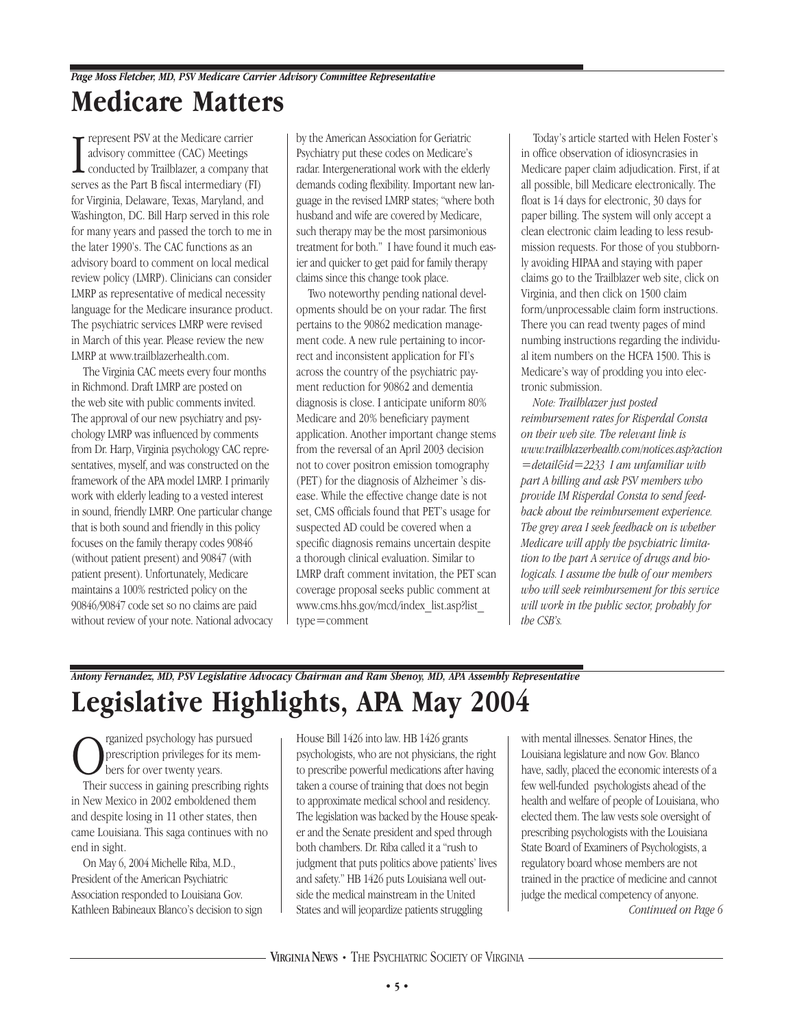#### **Medicare Matters** *Page Moss Fletcher, MD, PSV Medicare Carrier Advisory Committee Representative*

<sup>I</sup> represent PSV at the Medicare carrier advisory committee (CAC) Meetings conducted by Trailblazer, a company that serves as the Part B fiscal intermediary (FI) for Virginia, Delaware, Texas, Maryland, and Washington, DC. Bill Harp served in this role for many years and passed the torch to me in the later 1990's. The CAC functions as an advisory board to comment on local medical review policy (LMRP). Clinicians can consider LMRP as representative of medical necessity language for the Medicare insurance product. The psychiatric services LMRP were revised in March of this year. Please review the new LMRP at www.trailblazerhealth.com.

The Virginia CAC meets every four months in Richmond. Draft LMRP are posted on the web site with public comments invited. The approval of our new psychiatry and psychology LMRP was influenced by comments from Dr. Harp, Virginia psychology CAC representatives, myself, and was constructed on the framework of the APA model LMRP. I primarily work with elderly leading to a vested interest in sound, friendly LMRP. One particular change that is both sound and friendly in this policy focuses on the family therapy codes 90846 (without patient present) and 90847 (with patient present). Unfortunately, Medicare maintains a 100% restricted policy on the 90846/90847 code set so no claims are paid without review of your note. National advocacy by the American Association for Geriatric Psychiatry put these codes on Medicare's radar. Intergenerational work with the elderly demands coding flexibility. Important new language in the revised LMRP states; "where both husband and wife are covered by Medicare, such therapy may be the most parsimonious treatment for both." I have found it much easier and quicker to get paid for family therapy claims since this change took place.

Two noteworthy pending national developments should be on your radar. The first pertains to the 90862 medication management code. A new rule pertaining to incorrect and inconsistent application for FI's across the country of the psychiatric payment reduction for 90862 and dementia diagnosis is close. I anticipate uniform 80% Medicare and 20% beneficiary payment application. Another important change stems from the reversal of an April 2003 decision not to cover positron emission tomography (PET) for the diagnosis of Alzheimer 's disease. While the effective change date is not set, CMS officials found that PET's usage for suspected AD could be covered when a specific diagnosis remains uncertain despite a thorough clinical evaluation. Similar to LMRP draft comment invitation, the PET scan coverage proposal seeks public comment at www.cms.hhs.gov/mcd/index\_list.asp?list\_ type=comment

Today's article started with Helen Foster's in office observation of idiosyncrasies in Medicare paper claim adjudication. First, if at all possible, bill Medicare electronically. The float is 14 days for electronic, 30 days for paper billing. The system will only accept a clean electronic claim leading to less resubmission requests. For those of you stubbornly avoiding HIPAA and staying with paper claims go to the Trailblazer web site, click on Virginia, and then click on 1500 claim form/unprocessable claim form instructions. There you can read twenty pages of mind numbing instructions regarding the individual item numbers on the HCFA 1500. This is Medicare's way of prodding you into electronic submission.

*Note: Trailblazer just posted reimbursement rates for Risperdal Consta on their web site. The relevant link is www.trailblazerhealth.com/notices.asp?action =detail&id=2233 I am unfamiliar with part A billing and ask PSV members who provide IM Risperdal Consta to send feedback about the reimbursement experience. The grey area I seek feedback on is whether Medicare will apply the psychiatric limitation to the part A service of drugs and biologicals. I assume the bulk of our members who will seek reimbursement for this service will work in the public sector, probably for the CSB's.*

### *Antony Fernandez, MD, PSV Legislative Advocacy Chairman and Ram Shenoy, MD, APA Assembly Representative* **Legislative Highlights, APA May 2004**

**O** reganized psychology has pursued<br>prescription privileges for its mer<br>their success in gaining prescribing rise prescription privileges for its members for over twenty years. Their success in gaining prescribing rights in New Mexico in 2002 emboldened them and despite losing in 11 other states, then came Louisiana. This saga continues with no end in sight.

On May 6, 2004 Michelle Riba, M.D., President of the American Psychiatric Association responded to Louisiana Gov. Kathleen Babineaux Blanco's decision to sign House Bill 1426 into law. HB 1426 grants psychologists, who are not physicians, the right to prescribe powerful medications after having taken a course of training that does not begin to approximate medical school and residency. The legislation was backed by the House speaker and the Senate president and sped through both chambers. Dr. Riba called it a "rush to judgment that puts politics above patients' lives and safety." HB 1426 puts Louisiana well outside the medical mainstream in the United States and will jeopardize patients struggling

with mental illnesses. Senator Hines, the Louisiana legislature and now Gov. Blanco have, sadly, placed the economic interests of a few well-funded psychologists ahead of the health and welfare of people of Louisiana, who elected them. The law vests sole oversight of prescribing psychologists with the Louisiana State Board of Examiners of Psychologists, a regulatory board whose members are not trained in the practice of medicine and cannot judge the medical competency of anyone. *Continued on Page 6*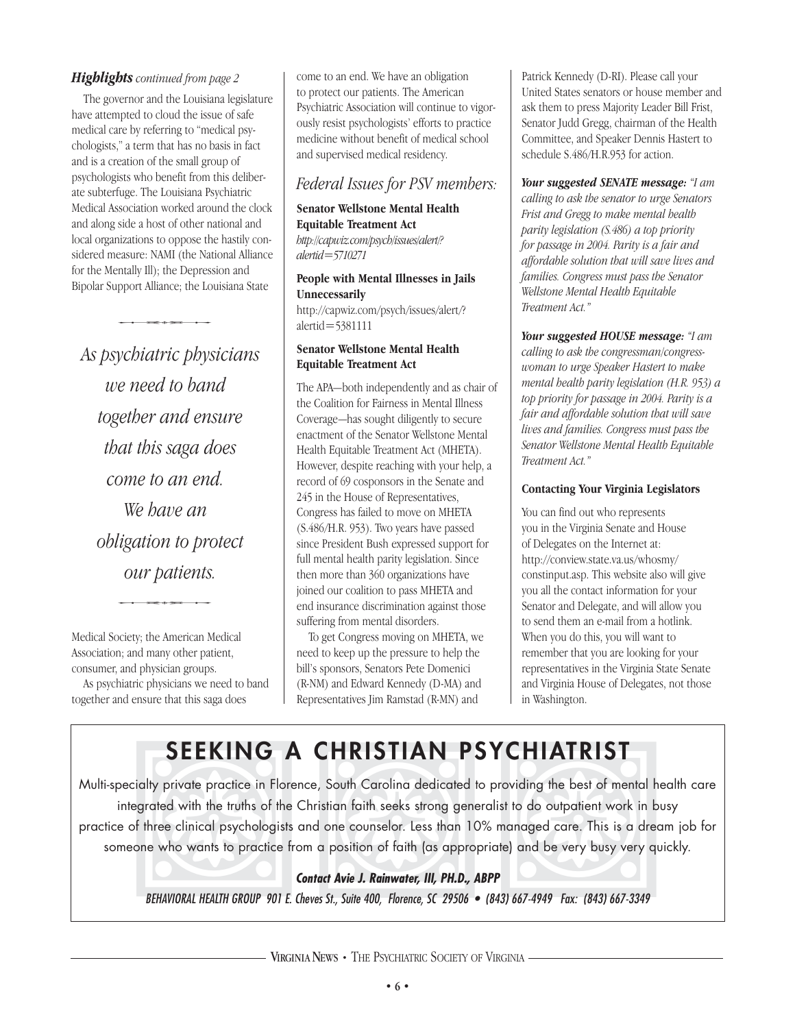#### *Highlights continued from page 2*

The governor and the Louisiana legislature have attempted to cloud the issue of safe medical care by referring to "medical psychologists," a term that has no basis in fact and is a creation of the small group of psychologists who benefit from this deliberate subterfuge. The Louisiana Psychiatric Medical Association worked around the clock and along side a host of other national and local organizations to oppose the hastily considered measure: NAMI (the National Alliance for the Mentally Ill); the Depression and Bipolar Support Alliance; the Louisiana State ntally Ill); the Depression a<br>pport Alliance; the Louisian<br>contract the Musical

*As psychiatric physicians we need to band together and ensure that this saga does come to an end. We have an obligation to protect gation* to protect<br>our patients. *our patients.*

Medical Society; the American Medical Association; and many other patient, consumer, and physician groups.

As psychiatric physicians we need to band together and ensure that this saga does

come to an end. We have an obligation to protect our patients. The American Psychiatric Association will continue to vigorously resist psychologists' efforts to practice medicine without benefit of medical school and supervised medical residency.

#### *Federal Issues for PSV members:*

**Senator Wellstone Mental Health Equitable Treatment Act** *http://capwiz.com/psych/issues/alert/? alertid=5710271*

#### **People with Mental Illnesses in Jails Unnecessarily**

http://capwiz.com/psych/issues/alert/? alertid=5381111

#### **Senator Wellstone Mental Health Equitable Treatment Act**

The APA—both independently and as chair of the Coalition for Fairness in Mental Illness Coverage—has sought diligently to secure enactment of the Senator Wellstone Mental Health Equitable Treatment Act (MHETA). However, despite reaching with your help, a record of 69 cosponsors in the Senate and 245 in the House of Representatives, Congress has failed to move on MHETA (S.486/H.R. 953). Two years have passed since President Bush expressed support for full mental health parity legislation. Since then more than 360 organizations have joined our coalition to pass MHETA and end insurance discrimination against those suffering from mental disorders.

To get Congress moving on MHETA, we need to keep up the pressure to help the bill's sponsors, Senators Pete Domenici (R-NM) and Edward Kennedy (D-MA) and Representatives Jim Ramstad (R-MN) and

Patrick Kennedy (D-RI). Please call your United States senators or house member and ask them to press Majority Leader Bill Frist, Senator Judd Gregg, chairman of the Health Committee, and Speaker Dennis Hastert to schedule S.486/H.R.953 for action.

*Your suggested SENATE message: "I am calling to ask the senator to urge Senators Frist and Gregg to make mental health parity legislation (S.486) a top priority for passage in 2004. Parity is a fair and affordable solution that will save lives and families. Congress must pass the Senator Wellstone Mental Health Equitable Treatment Act."* 

*Your suggested HOUSE message: "I am calling to ask the congressman/congresswoman to urge Speaker Hastert to make mental health parity legislation (H.R. 953) a top priority for passage in 2004. Parity is a fair and affordable solution that will save lives and families. Congress must pass the Senator Wellstone Mental Health Equitable Treatment Act."* 

#### **Contacting Your Virginia Legislators**

You can find out who represents you in the Virginia Senate and House of Delegates on the Internet at: http://conview.state.va.us/whosmy/ constinput.asp. This website also will give you all the contact information for your Senator and Delegate, and will allow you to send them an e-mail from a hotlink. When you do this, you will want to remember that you are looking for your representatives in the Virginia State Senate and Virginia House of Delegates, not those in Washington.

## **SEEKING A CHRISTIAN PSYCHIATRIST**

JEEKING<br>
ialty private practice in Flore<br>
grated with the truths of the<br>
f three clinical psychologists<br>
one who wants to practice f<br>
BEHAVIORAL HEALTH GROUP 901 E.<br>
VIRG South Carolina dedicated<br>stian faith seeks strong gen<br>one counselor. Less than 10<br>a position of faith (as appro<br>not Avie J. Rainwater, III, PH.D.,<br>s St., Suite 400, Florence, SC 29506<br>EXXS • THE PSYCHIATRIC SOCIETY C oviding the best of mental has been best of mental has to do outpatient work in b<br>nanaged care. This is a dream and be very busy very q<br>3) 667-4949 Fax: (843) 667-3349<br>GINIA Multi-specialty private practice in Florence, South Carolina dedicated to providing the best of mental health care integrated with the truths of the Christian faith seeks strong generalist to do outpatient work in busy practice of three clinical psychologists and one counselor. Less than 10% managed care. This is a dream job for someone who wants to practice from a position of faith (as appropriate) and be very busy very quickly.

#### **Contact Avie J. Rainwater, III, PH.D., ABPP**

BEHAVIORAL HEALTH GROUP 901 E. Cheves St., Suite 400, Florence, SC 29506 • (843) 667-4949 Fax: (843) 667-3349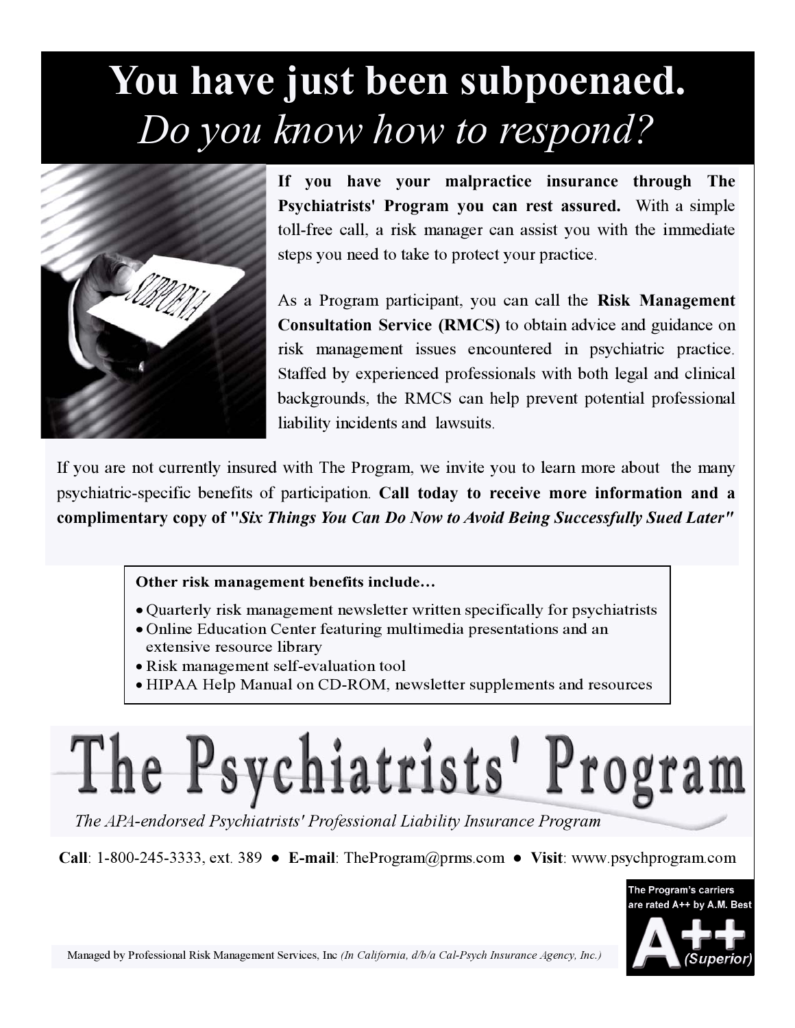# **You have just been subpoenaed.**  *Do you know how to respond?*



**If you have your malpractice insurance through The Psychiatrists' Program you can rest assured.** With a simple toll-free call, a risk manager can assist you with the immediate steps you need to take to protect your practice.

As a Program participant, you can call the **Risk Management Consultation Service (RMCS)** to obtain advice and guidance on risk management issues encountered in psychiatric practice. Staffed by experienced professionals with both legal and clinical backgrounds, the RMCS can help prevent potential professional liability incidents and lawsuits.

If you are not currently insured with The Program, we invite you to learn more about the many psychiatric-specific benefits of participation. **Call today to receive more information and a complimentary copy of "***Six Things You Can Do Now to Avoid Being Successfully Sued Later"*

#### **Other risk management benefits include…**

- Quarterly risk management newsletter written specifically for psychiatrists
- Online Education Center featuring multimedia presentations and an extensive resource library
- Risk management self-evaluation tool
- HIPAA Help Manual on CD-ROM, newsletter supplements and resources

# The Psychiatrists' Program

*The APA-endorsed Psychiatrists' Professional Liability Insurance Program*

**Call**: 1-800-245-3333, ext. 389 ! **E-mail**: TheProgram@prms.com ! **Visit**: www.psychprogram.com

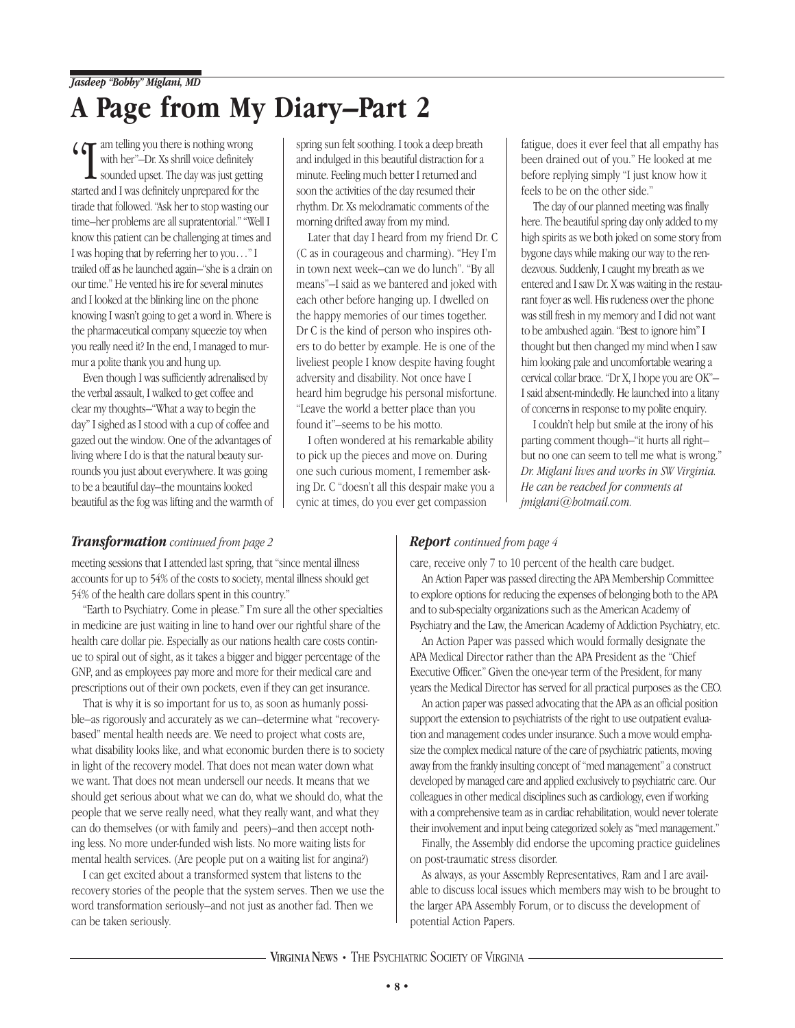## **A Page from My Diary–Part 2**

 $\left($   $\left( \right. \right)$  am telling you there is nothing wrong with her"–Dr. Xs shrill voice definitely

sounded upset. The day was just getting started and I was definitely unprepared for the tirade that followed. "Ask her to stop wasting our time–her problems are all supratentorial." "Well I know this patient can be challenging at times and I was hoping that by referring her to you…" I trailed off as he launched again–"she is a drain on our time." He vented his ire for several minutes and I looked at the blinking line on the phone knowing I wasn't going to get a word in. Where is the pharmaceutical company squeezie toy when you really need it? In the end, I managed to murmur a polite thank you and hung up.

Even though I was sufficiently adrenalised by the verbal assault, I walked to get coffee and clear my thoughts–"What a way to begin the day" I sighed as I stood with a cup of coffee and gazed out the window. One of the advantages of living where I do is that the natural beauty surrounds you just about everywhere. It was going to be a beautiful day–the mountains looked beautiful as the fog was lifting and the warmth of spring sun felt soothing. I took a deep breath and indulged in this beautiful distraction for a minute. Feeling much better I returned and soon the activities of the day resumed their rhythm. Dr. Xs melodramatic comments of the morning drifted away from my mind.

Later that day I heard from my friend Dr. C (C as in courageous and charming). "Hey I'm in town next week–can we do lunch". "By all means"–I said as we bantered and joked with each other before hanging up. I dwelled on the happy memories of our times together. Dr C is the kind of person who inspires others to do better by example. He is one of the liveliest people I know despite having fought adversity and disability. Not once have I heard him begrudge his personal misfortune. "Leave the world a better place than you found it"–seems to be his motto.

I often wondered at his remarkable ability to pick up the pieces and move on. During one such curious moment, I remember asking Dr. C "doesn't all this despair make you a cynic at times, do you ever get compassion

fatigue, does it ever feel that all empathy has been drained out of you." He looked at me before replying simply "I just know how it feels to be on the other side."

The day of our planned meeting was finally here. The beautiful spring day only added to my high spirits as we both joked on some story from bygone days while making our way to the rendezvous. Suddenly, I caught my breath as we entered and I saw Dr. X was waiting in the restaurant foyer as well. His rudeness over the phone was still fresh in my memory and I did not want to be ambushed again. "Best to ignore him" I thought but then changed my mind when I saw him looking pale and uncomfortable wearing a cervical collar brace. "Dr X, I hope you are OK"– I said absent-mindedly. He launched into a litany of concerns in response to my polite enquiry.

I couldn't help but smile at the irony of his parting comment though–"it hurts all right– but no one can seem to tell me what is wrong." *Dr. Miglani lives and works in SW Virginia. He can be reached for comments at jmiglani@hotmail.com.*

#### *Transformation continued from page 2*

meeting sessions that I attended last spring, that "since mental illness accounts for up to 54% of the costs to society, mental illness should get 54% of the health care dollars spent in this country."

"Earth to Psychiatry. Come in please." I'm sure all the other specialties in medicine are just waiting in line to hand over our rightful share of the health care dollar pie. Especially as our nations health care costs continue to spiral out of sight, as it takes a bigger and bigger percentage of the GNP, and as employees pay more and more for their medical care and prescriptions out of their own pockets, even if they can get insurance.

That is why it is so important for us to, as soon as humanly possible–as rigorously and accurately as we can–determine what "recoverybased" mental health needs are. We need to project what costs are, what disability looks like, and what economic burden there is to society in light of the recovery model. That does not mean water down what we want. That does not mean undersell our needs. It means that we should get serious about what we can do, what we should do, what the people that we serve really need, what they really want, and what they can do themselves (or with family and peers)–and then accept nothing less. No more under-funded wish lists. No more waiting lists for mental health services. (Are people put on a waiting list for angina?)

I can get excited about a transformed system that listens to the recovery stories of the people that the system serves. Then we use the word transformation seriously–and not just as another fad. Then we can be taken seriously.

#### *Report continued from page 4*

care, receive only 7 to 10 percent of the health care budget.

An Action Paper was passed directing the APA Membership Committee to explore options for reducing the expenses of belonging both to the APA and to sub-specialty organizations such as the American Academy of Psychiatry and the Law, the American Academy of Addiction Psychiatry, etc.

An Action Paper was passed which would formally designate the APA Medical Director rather than the APA President as the "Chief Executive Officer." Given the one-year term of the President, for many years the Medical Director has served for all practical purposes as the CEO.

An action paper was passed advocating that the APA as an official position support the extension to psychiatrists of the right to use outpatient evaluation and management codes under insurance. Such a move would emphasize the complex medical nature of the care of psychiatric patients, moving away from the frankly insulting concept of "med management" a construct developed by managed care and applied exclusively to psychiatric care. Our colleagues in other medical disciplines such as cardiology, even if working with a comprehensive team as in cardiac rehabilitation, would never tolerate their involvement and input being categorized solely as "med management."

Finally, the Assembly did endorse the upcoming practice guidelines on post-traumatic stress disorder.

As always, as your Assembly Representatives, Ram and I are available to discuss local issues which members may wish to be brought to the larger APA Assembly Forum, or to discuss the development of potential Action Papers.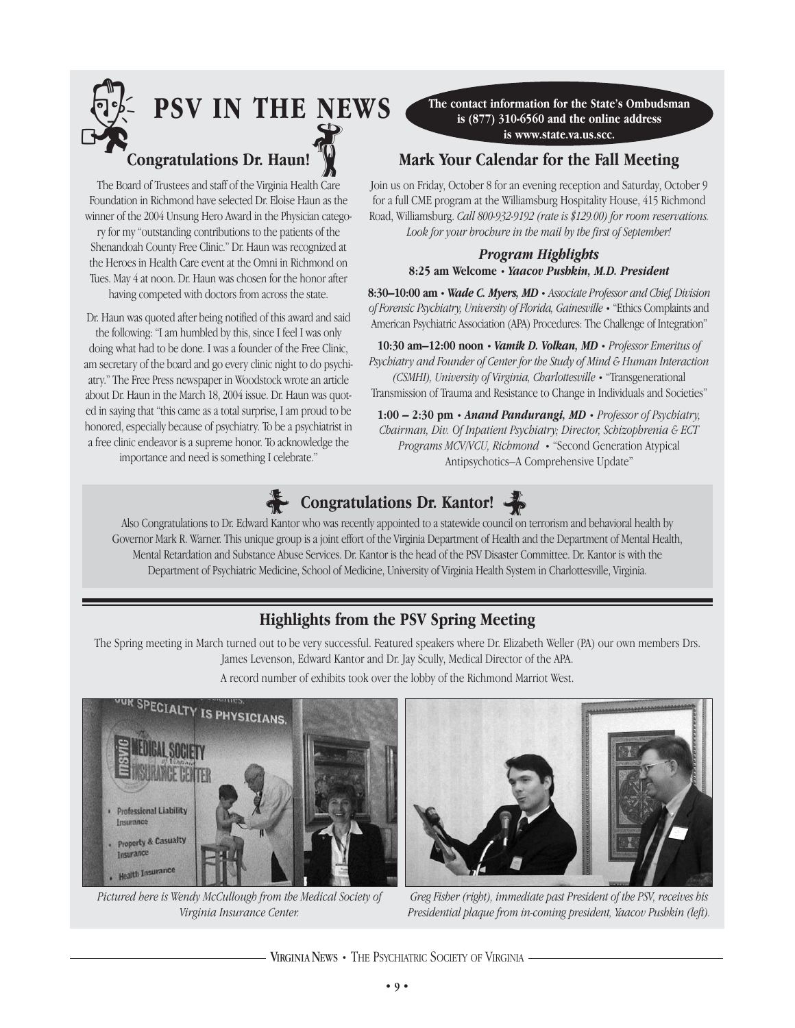

The Board of Trustees and staff of the Virginia Health Care Foundation in Richmond have selected Dr. Eloise Haun as the winner of the 2004 Unsung Hero Award in the Physician catego-

ry for my "outstanding contributions to the patients of the Shenandoah County Free Clinic." Dr. Haun was recognized at the Heroes in Health Care event at the Omni in Richmond on Tues. May 4 at noon. Dr. Haun was chosen for the honor after having competed with doctors from across the state.

Dr. Haun was quoted after being notified of this award and said the following: "I am humbled by this, since I feel I was only doing what had to be done. I was a founder of the Free Clinic, am secretary of the board and go every clinic night to do psychiatry." The Free Press newspaper in Woodstock wrote an article about Dr. Haun in the March 18, 2004 issue. Dr. Haun was quoted in saying that "this came as a total surprise, I am proud to be honored, especially because of psychiatry. To be a psychiatrist in a free clinic endeavor is a supreme honor. To acknowledge the importance and need is something I celebrate."

**The contact information for the State's Ombudsman is (877) 310-6560 and the online address is www.state.va.us.scc.** 

#### **Mark Your Calendar for the Fall Meeting**

Join us on Friday, October 8 for an evening reception and Saturday, October 9 for a full CME program at the Williamsburg Hospitality House, 415 Richmond Road, Williamsburg. *Call 800-932-9192 (rate is \$129.00) for room reservations. Look for your brochure in the mail by the first of September!*

#### *Program Highlights* **8:25 am Welcome** • *Yaacov Pushkin, M.D. President*

**8:30–10:00 am** • *Wade C. Myers, MD* • *Associate Professor and Chief, Division of Forensic Psychiatry, University of Florida, Gainesville* • "Ethics Complaints and American Psychiatric Association (APA) Procedures: The Challenge of Integration"

**10:30 am–12:00 noon** • *Vamik D. Volkan, MD* • *Professor Emeritus of Psychiatry and Founder of Center for the Study of Mind & Human Interaction (CSMHI), University of Virginia, Charlottesville* • "Transgenerational Transmission of Trauma and Resistance to Change in Individuals and Societies"

**1:00 – 2:30 pm** • *Anand Pandurangi, MD* • *Professor of Psychiatry, Chairman, Div. Of Inpatient Psychiatry; Director, Schizophrenia & ECT Programs MCV/VCU, Richmond* • "Second Generation Atypical Antipsychotics–A Comprehensive Update"

## **E** Congratulations Dr. Kantor!

Also Congratulations to Dr. Edward Kantor who was recently appointed to a statewide council on terrorism and behavioral health by Governor Mark R. Warner. This unique group is a joint effort of the Virginia Department of Health and the Department of Mental Health, Mental Retardation and Substance Abuse Services. Dr. Kantor is the head of the PSV Disaster Committee. Dr. Kantor is with the Department of Psychiatric Medicine, School of Medicine, University of Virginia Health System in Charlottesville, Virginia.

#### **Highlights from the PSV Spring Meeting**

The Spring meeting in March turned out to be very successful. Featured speakers where Dr. Elizabeth Weller (PA) our own members Drs. James Levenson, Edward Kantor and Dr. Jay Scully, Medical Director of the APA.

A record number of exhibits took over the lobby of the Richmond Marriot West.



*Pictured here is Wendy McCullough from the Medical Society of Virginia Insurance Center.*



*Greg Fisher (right), immediate past President of the PSV, receives his Presidential plaque from in-coming president, Yaacov Pushkin (left).*